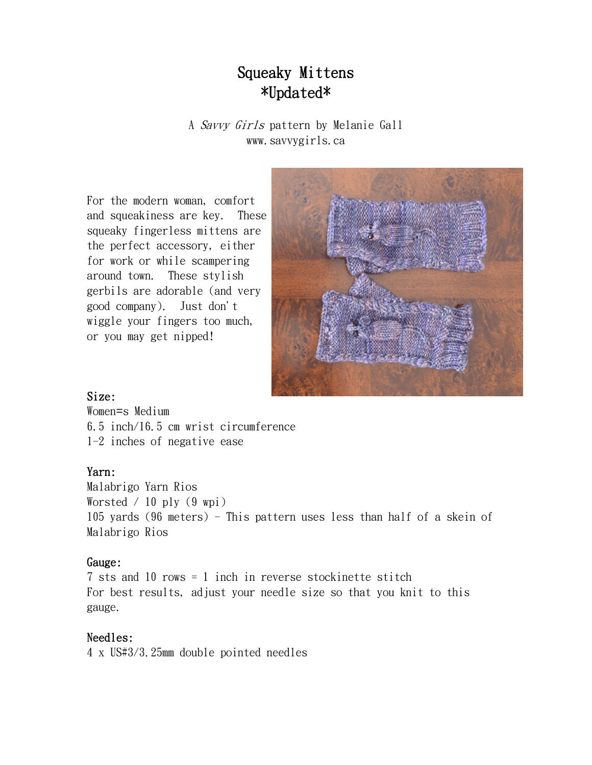# Squeaky Mittens \*Updated\*

A Savvy Girls pattern by Melanie Gall www.savvygirls.ca

For the modern woman, comfort and squeakiness are key. These squeaky fingerless mittens are the perfect accessory, either for work or while scampering around town. These stylish gerbils are adorable (and very good company). Just don't wiggle your fingers too much, or you may get nipped!



#### Size:

Women=s Medium 6.5 inch/16.5 cm wrist circumference 1-2 inches of negative ease

# Yarn:

Malabrigo Yarn Rios Worsted  $/ 10$  ply  $(9 \text{ wpi})$ 105 yards (96 meters) - This pattern uses less than half of a skein of Malabrigo Rios

# Gauge:

7 sts and 10 rows = 1 inch in reverse stockinette stitch For best results, adjust your needle size so that you knit to this gauge.

# Needles:

4 x US#3/3.25mm double pointed needles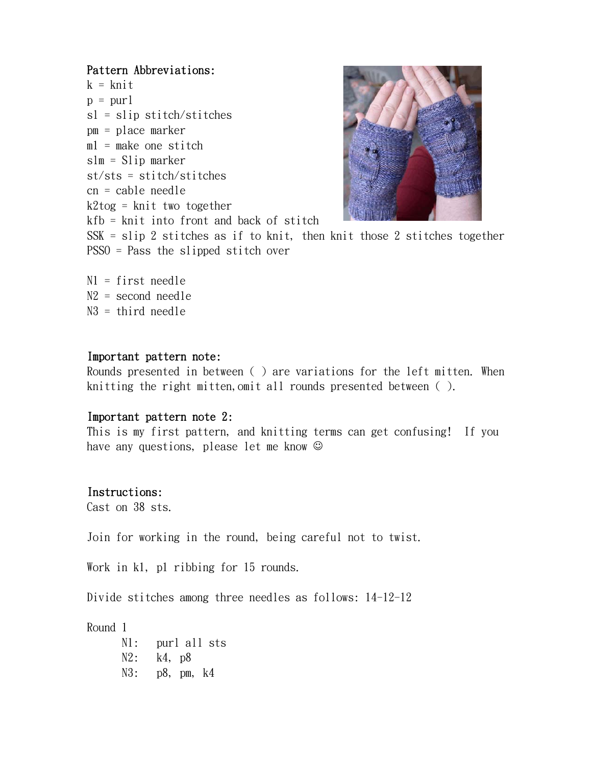#### Pattern Abbreviations:

```
k = knit
p = purlsl = slip stitch/stitches 
pm = place marker 
ml = make one stitch
slm = Slip marker 
st/sts = stitch/stitches 
cn = cable needle 
k2tog = knit two together
kfb = knit into front and back of stitch
```


SSK = slip 2 stitches as if to knit, then knit those 2 stitches together PSSO = Pass the slipped stitch over

N1 = first needle N2 = second needle N3 = third needle

#### Important pattern note:

Rounds presented in between ( ) are variations for the left mitten. When knitting the right mitten,omit all rounds presented between ( ).

#### Important pattern note 2:

This is my first pattern, and knitting terms can get confusing! If you have any questions, please let me know  $\odot$ 

# Instructions:

Cast on 38 sts.

Join for working in the round, being careful not to twist.

Work in k1, p1 ribbing for 15 rounds.

Divide stitches among three needles as follows: 14-12-12

Round 1

N1: purl all sts N2: k4, p8 N3: p8, pm, k4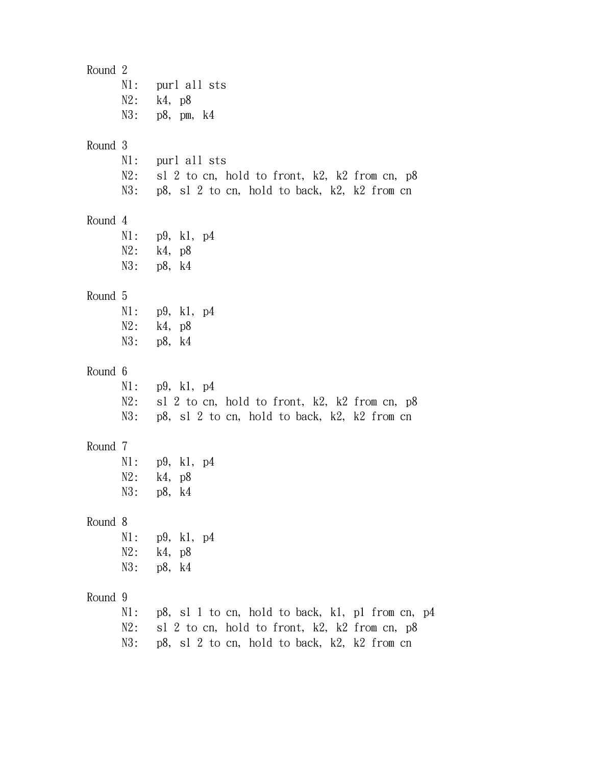| Round 2 | $N1$ :<br>$N2$ :        | purl all sts<br>k4, p8<br>$N3:$ p8, pm, k4                                                                                                        |
|---------|-------------------------|---------------------------------------------------------------------------------------------------------------------------------------------------|
| Round 3 | $N1$ :<br>$N2$ :<br>N3: | purl all sts<br>sl 2 to cn, hold to front, k2, k2 from cn, p8<br>p8, s1 2 to cn, hold to back, k2, k2 from cn                                     |
| Round 4 | $N1$ :                  | p9, k1, p4<br>$N2:$ $k4, p8$<br>N3: p8, k4                                                                                                        |
| Round 5 | $N2$ :                  | $N1:$ p9, k1, p4<br>k4, p8<br>N3: p8, k4                                                                                                          |
| Round 6 | $N2$ :<br>N3:           | $N1:$ p9, k1, p4<br>sl 2 to cn, hold to front, k2, k2 from cn, p8<br>p8, s1 2 to cn, hold to back, k2, k2 from cn                                 |
| Round 7 | $N1$ :<br>N2:<br>N3:    | p9, k1, p4<br>k4, p8<br>p8, k4                                                                                                                    |
| Round 8 | N2:<br>N3:              | $N1:$ p9, k1, p4<br>k4, p8<br>p8, k4                                                                                                              |
| Round 9 | N1:<br>N2:<br>N3:       | p8, sl 1 to cn, hold to back, kl, pl from cn, p4<br>sl 2 to cn, hold to front, k2, k2 from cn, p8<br>p8, sl 2 to cn, hold to back, k2, k2 from cn |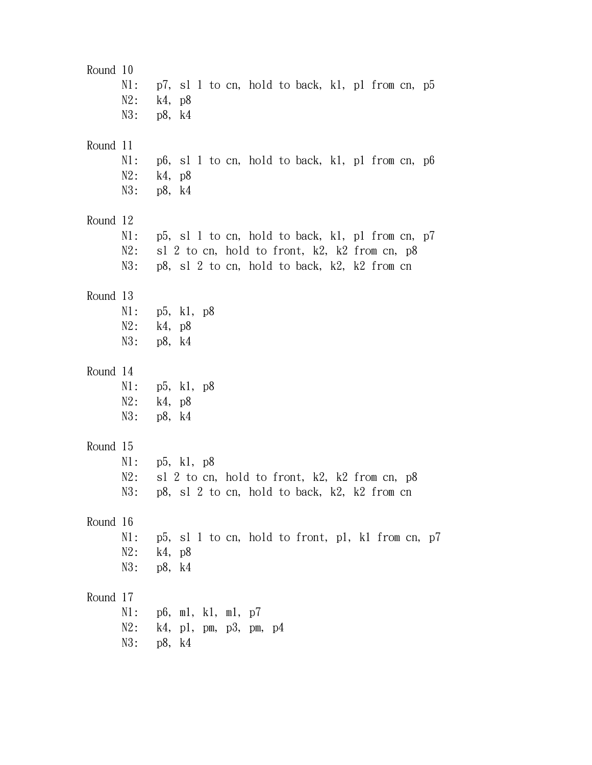| Round 10 | $N1$ :<br>$N2$ :        | p7, sl 1 to cn, hold to back, k1, p1 from cn, p5<br>k4, p8<br>N3: p8, k4                                                                          |
|----------|-------------------------|---------------------------------------------------------------------------------------------------------------------------------------------------|
| Round 11 | $N1$ :<br>$N2$ :        | p6, sl 1 to cn, hold to back, kl, pl from cn, p6<br>k4, p8<br>N3: p8, k4                                                                          |
| Round 12 | $N1$ :<br>$N2$ :<br>N3: | p5, sl 1 to cn, hold to back, kl, pl from cn, p7<br>sl 2 to cn, hold to front, k2, k2 from cn, p8<br>p8, sl 2 to cn, hold to back, k2, k2 from cn |
| Round 13 | $N2$ :                  | $N1:$ p5, k1, p8<br>k4, p8<br>N3: p8, k4                                                                                                          |
| Round 14 | $N1$ :<br>N2:           | p5, k1, p8<br>k4, p8<br>N3: p8, k4                                                                                                                |
| Round 15 | $N1$ :<br>N2:<br>N3:    | p5, k1, p8<br>sl 2 to cn, hold to front, k2, k2 from cn, p8<br>p8, s1 2 to cn, hold to back, k2, k2 from cn                                       |
| Round 16 | N1:<br>N2:              | p5, sl 1 to cn, hold to front, p1, k1 from cn, p7<br>k4, p8<br>N3: p8, k4                                                                         |
| Round 17 | N1:<br>N2:              | p6, m1, k1, m1, p7<br>k4, p1, pm, p3, pm, p4<br>N3: p8, k4                                                                                        |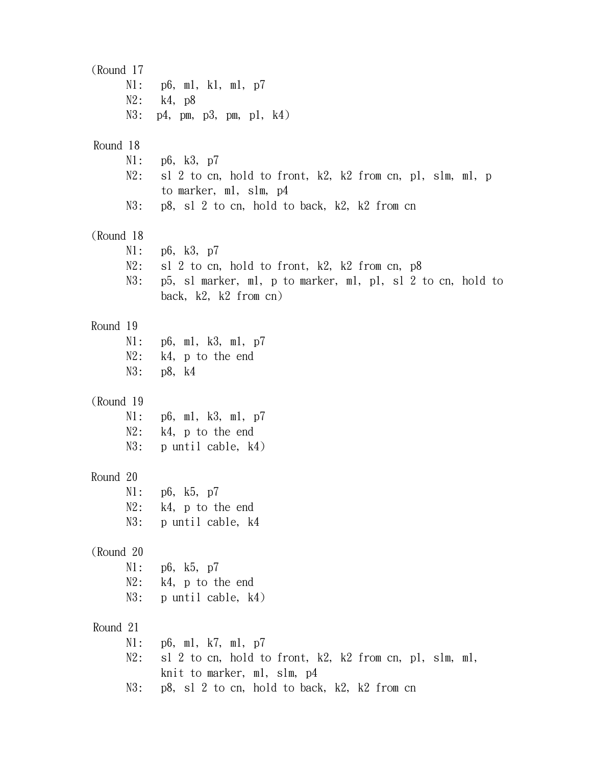(Round 17 N1: p6, m1, k1, m1, p7 N2: k4, p8 N3: p4, pm, p3, pm, p1, k4) Round 18 N1: p6, k3, p7 N2: sl 2 to cn, hold to front, k2, k2 from cn, pl, slm, ml, p to marker, m1, slm, p4 N3: p8, sl 2 to cn, hold to back, k2, k2 from cn (Round 18 N1: p6, k3, p7 N2: sl 2 to cn, hold to front, k2, k2 from cn, p8 N3: p5, sl marker, m1, p to marker, m1, p1, sl 2 to cn, hold to back, k2, k2 from cn) Round 19 N1: p6, m1, k3, m1, p7 N2: k4, p to the end N3: p8, k4 (Round 19 N1: p6, m1, k3, m1, p7 N2: k4, p to the end N3: p until cable, k4) Round 20 N1: p6, k5, p7 N2: k4, p to the end N3: p until cable, k4 (Round 20 N1: p6, k5, p7 N2: k4, p to the end N3: p until cable, k4) Round 21 N1: p6, m1, k7, m1, p7 N2: sl 2 to cn, hold to front, k2, k2 from cn, pl, slm, ml, knit to marker, m1, slm, p4 N3: p8, sl 2 to cn, hold to back, k2, k2 from cn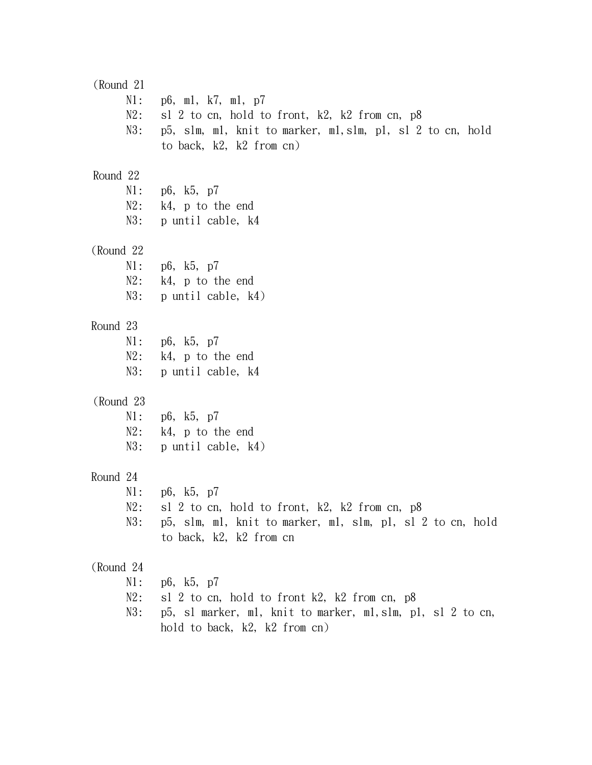(Round 21 N1: p6, m1, k7, m1, p7 N2: sl 2 to cn, hold to front, k2, k2 from cn, p8 N3: p5, slm, m1, knit to marker, m1,slm, p1, sl 2 to cn, hold to back, k2, k2 from cn) Round 22 N1: p6, k5, p7 N2: k4, p to the end N3: p until cable, k4 (Round 22 N1: p6, k5, p7 N2: k4, p to the end N3: p until cable, k4) Round 23 N1: p6, k5, p7 N2: k4, p to the end N3: p until cable, k4 (Round 23 N1: p6, k5, p7 N2: k4, p to the end N3: p until cable, k4) Round 24 N1: p6, k5, p7 N2: sl 2 to cn, hold to front, k2, k2 from cn, p8 N3: p5, slm, m1, knit to marker, m1, slm, p1, sl 2 to cn, hold to back, k2, k2 from cn (Round 24 N1: p6, k5, p7 N2: sl 2 to cn, hold to front k2, k2 from cn, p8 N3: p5, sl marker, m1, knit to marker, m1,slm, p1, sl 2 to cn, hold to back, k2, k2 from cn)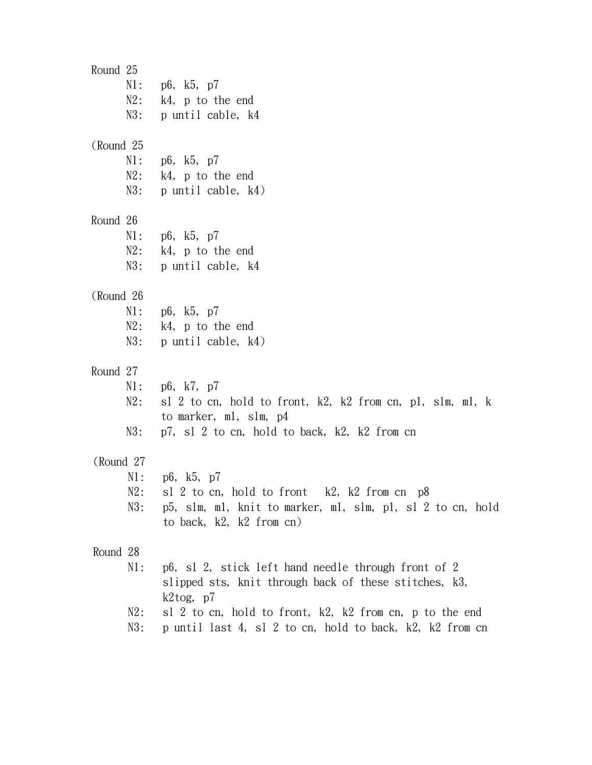Round 25 N1: p6, k5, p7 N2: k4, p to the end N3: p until cable, k4 (Round 25 N1: p6, k5, p7 N2: k4, p to the end N3: p until cable, k4) Round 26 N1: p6, k5, p7 N2: k4, p to the end N3: p until cable, k4 (Round 26 N1: p6, k5, p7 N2: k4, p to the end N3: p until cable, k4) Round 27 N1: p6, k7, p7 N2: sl 2 to cn, hold to front, k2, k2 from cn, pl, slm, ml, k to marker, m1, slm, p4 N3: p7, sl 2 to cn, hold to back, k2, k2 from cn (Round 27 N1: p6, k5, p7 N2: sl 2 to cn, hold to front k2, k2 from cn p8 N3: p5, slm, m1, knit to marker, m1, slm, p1, sl 2 to cn, hold to back, k2, k2 from cn) Round 28 N1: p6, sl 2, stick left hand needle through front of 2 slipped sts, knit through back of these stitches, k3, k2tog, p7 N2: sl 2 to cn, hold to front, k2, k2 from cn, p to the end N3: p until last 4, sl 2 to cn, hold to back, k2, k2 from cn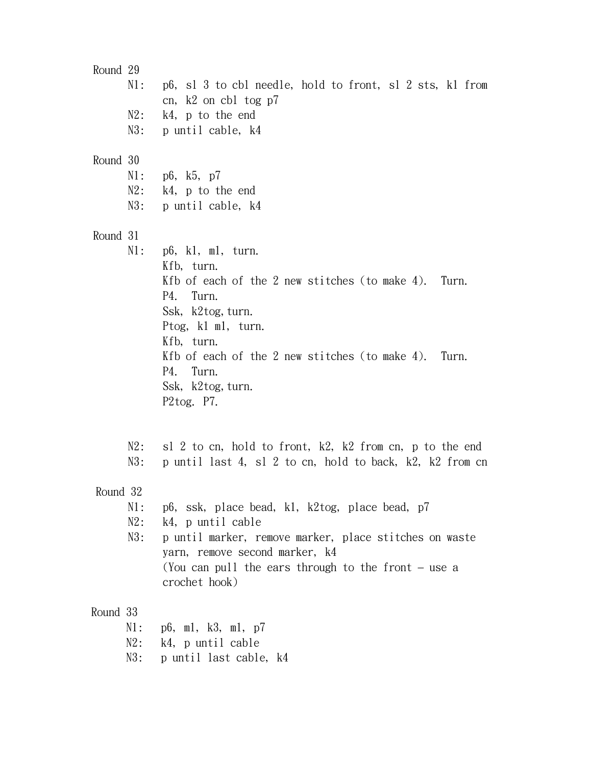Round 29 N1: p6, sl 3 to cbl needle, hold to front, sl 2 sts, k1 from cn, k2 on cbl tog p7 N2: k4, p to the end N3: p until cable, k4 Round 30 N1: p6, k5, p7 N2: k4, p to the end N3: p until cable, k4 Round 31 N1: p6, k1, m1, turn. Kfb, turn. Kfb of each of the 2 new stitches (to make 4). Turn. P4. Turn. Ssk, k2tog, turn. Ptog, k1 m1, turn. Kfb, turn. Kfb of each of the 2 new stitches (to make 4). Turn. P4. Turn. Ssk, k2tog, turn. P2tog. P7. N2: sl 2 to cn, hold to front, k2, k2 from cn, p to the end N3: p until last 4, sl 2 to cn, hold to back, k2, k2 from cn Round 32 N1: p6, ssk, place bead, k1, k2tog, place bead, p7 N2: k4, p until cable N3: p until marker, remove marker, place stitches on waste yarn, remove second marker, k4 (You can pull the ears through to the front – use a crochet hook) Round 33 N1: p6, m1, k3, m1, p7 N2: k4, p until cable

N3: p until last cable, k4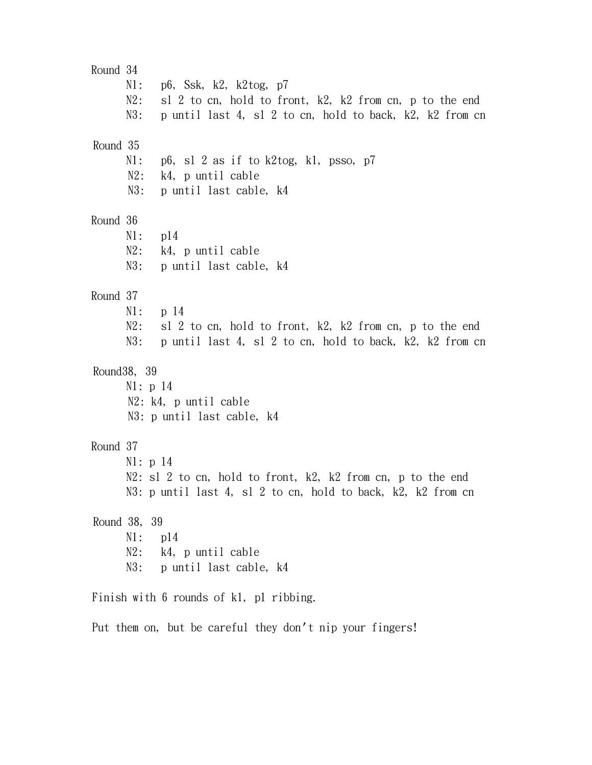Round 34 N1: p6, Ssk, k2, k2tog, p7 N2: sl 2 to cn, hold to front, k2, k2 from cn, p to the end N3: p until last 4, sl 2 to cn, hold to back, k2, k2 from cn Round 35  $N1:$  p6, sl 2 as if to k2tog, k1, psso, p7 N2: k4, p until cable N3: p until last cable, k4 Round 36 N1: p14 N2: k4, p until cable N3: p until last cable, k4 Round 37 N1: p 14 N2: sl 2 to cn, hold to front, k2, k2 from cn, p to the end N3: p until last 4, sl 2 to cn, hold to back, k2, k2 from cn Round38, 39 N1: p 14 N2: k4, p until cable N3: p until last cable, k4 Round 37 N1: p 14 N2: sl 2 to cn, hold to front, k2, k2 from cn, p to the end N3: p until last 4, sl 2 to cn, hold to back, k2, k2 from cn Round 38, 39 N1: p14 N2: k4, p until cable N3: p until last cable, k4

Finish with 6 rounds of k1, p1 ribbing.

Put them on, but be careful they don't nip your fingers!